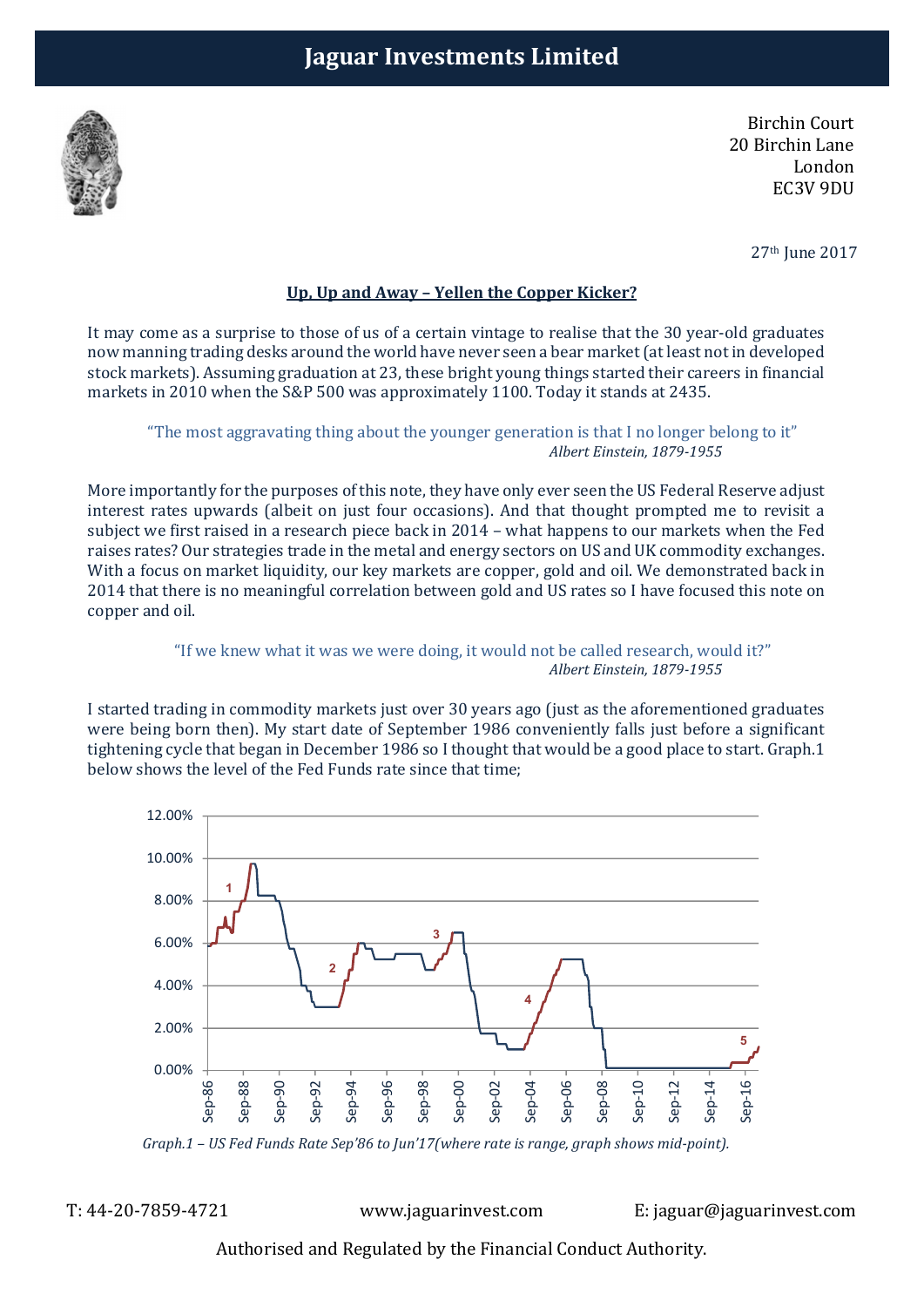

Birchin Court 20 Birchin Lane London EC3V 9DU

27th June 2017

# Up, Up and Away – Yellen the Copper Kicker?

It may come as a surprise to those of us of a certain vintage to realise that the 30 year-old graduates now manning trading desks around the world have never seen a bear market (at least not in developed stock markets). Assuming graduation at 23, these bright young things started their careers in financial markets in 2010 when the S&P 500 was approximately 1100. Today it stands at 2435.

"The most aggravating thing about the younger generation is that I no longer belong to it" Albert Einstein, 1879-1955

More importantly for the purposes of this note, they have only ever seen the US Federal Reserve adjust interest rates upwards (albeit on just four occasions). And that thought prompted me to revisit a subject we first raised in a research piece back in 2014 – what happens to our markets when the Fed raises rates? Our strategies trade in the metal and energy sectors on US and UK commodity exchanges. With a focus on market liquidity, our key markets are copper, gold and oil. We demonstrated back in 2014 that there is no meaningful correlation between gold and US rates so I have focused this note on copper and oil.

## "If we knew what it was we were doing, it would not be called research, would it?" Albert Einstein, 1879-1955

I started trading in commodity markets just over 30 years ago (just as the aforementioned graduates were being born then). My start date of September 1986 conveniently falls just before a significant tightening cycle that began in December 1986 so I thought that would be a good place to start. Graph.1 below shows the level of the Fed Funds rate since that time;



Graph.1 – US Fed Funds Rate Sep'86 to Jun'17(where rate is range, graph shows mid-point).

T: 44-20-7859-4721 www.jaguarinvest.com E: jaguar@jaguarinvest.com

Authorised and Regulated by the Financial Conduct Authority.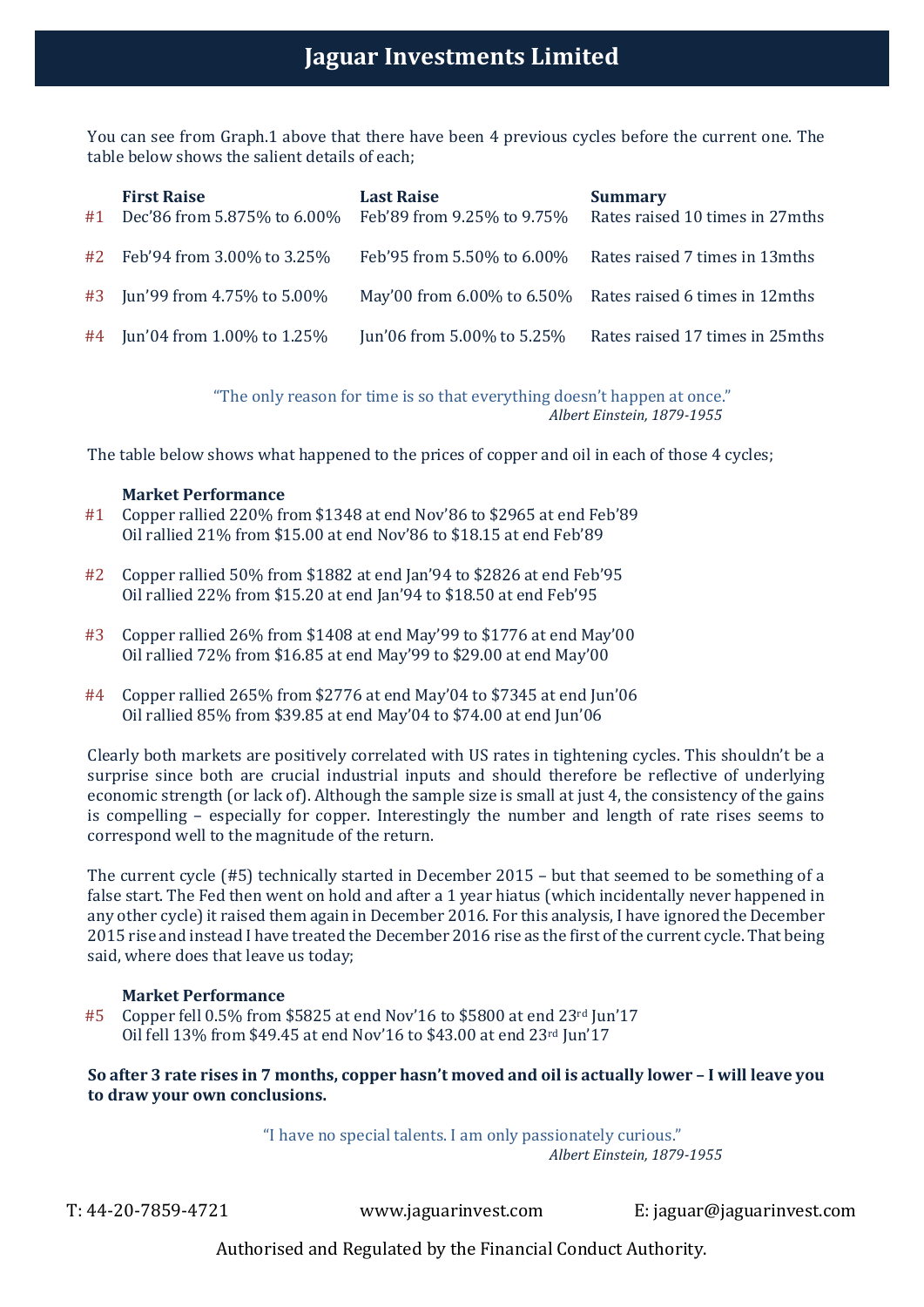You can see from Graph.1 above that there have been 4 previous cycles before the current one. The table below shows the salient details of each;

| #1 | <b>First Raise</b><br>Dec'86 from 5.875% to 6.00% | <b>Last Raise</b><br>Feb'89 from 9.25% to 9.75% | <b>Summary</b><br>Rates raised 10 times in 27mths         |
|----|---------------------------------------------------|-------------------------------------------------|-----------------------------------------------------------|
|    | #2 Feb'94 from 3.00% to 3.25%                     | Feb'95 from 5.50% to 6.00%                      | Rates raised 7 times in 13 mths                           |
|    | #3 Jun'99 from 4.75% to 5.00%                     |                                                 | May'00 from 6.00% to 6.50% Rates raised 6 times in 12mths |
|    | #4 Jun'04 from 1.00% to 1.25%                     | Jun'06 from 5.00% to 5.25%                      | Rates raised 17 times in 25 mths                          |

"The only reason for time is so that everything doesn't happen at once." Albert Einstein, 1879-1955

The table below shows what happened to the prices of copper and oil in each of those 4 cycles;

### Market Performance

- #1 Copper rallied 220% from \$1348 at end Nov'86 to \$2965 at end Feb'89 Oil rallied 21% from \$15.00 at end Nov'86 to \$18.15 at end Feb'89
- #2 Copper rallied 50% from \$1882 at end Jan'94 to \$2826 at end Feb'95 Oil rallied 22% from \$15.20 at end Jan'94 to \$18.50 at end Feb'95
- #3 Copper rallied 26% from \$1408 at end May'99 to \$1776 at end May'00 Oil rallied 72% from \$16.85 at end May'99 to \$29.00 at end May'00
- #4 Copper rallied 265% from \$2776 at end May'04 to \$7345 at end Jun'06 Oil rallied 85% from \$39.85 at end May'04 to \$74.00 at end Jun'06

Clearly both markets are positively correlated with US rates in tightening cycles. This shouldn't be a surprise since both are crucial industrial inputs and should therefore be reflective of underlying economic strength (or lack of). Although the sample size is small at just 4, the consistency of the gains is compelling – especially for copper. Interestingly the number and length of rate rises seems to correspond well to the magnitude of the return.

The current cycle (#5) technically started in December 2015 – but that seemed to be something of a false start. The Fed then went on hold and after a 1 year hiatus (which incidentally never happened in any other cycle) it raised them again in December 2016. For this analysis, I have ignored the December 2015 rise and instead I have treated the December 2016 rise as the first of the current cycle. That being said, where does that leave us today;

### Market Performance

 $#5$  Copper fell 0.5% from \$5825 at end Nov'16 to \$5800 at end 23<sup>rd</sup> Jun'17 Oil fell 13% from \$49.45 at end Nov'16 to \$43.00 at end 23rd Jun'17

So after 3 rate rises in 7 months, copper hasn't moved and oil is actually lower – I will leave you to draw your own conclusions.

> "I have no special talents. I am only passionately curious." Albert Einstein, 1879-1955

T: 44-20-7859-4721 www.jaguarinvest.com E: jaguar@jaguarinvest.com

Authorised and Regulated by the Financial Conduct Authority.